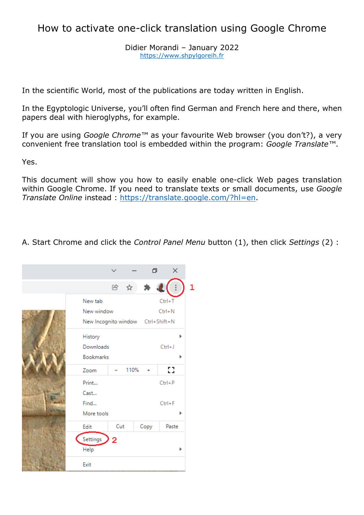## How to activate one-click translation using Google Chrome

Didier Morandi – January 2022 [https://www.shpylgoreih.fr](https://www.shpylgoreih.fr/)

In the scientific World, most of the publications are today written in English.

In the Egyptologic Universe, you'll often find German and French here and there, when papers deal with hieroglyphs, for example.

If you are using *Google Chrome™* as your favourite Web browser (you don't?), a very convenient free translation tool is embedded within the program: *Google Translate™*.

Yes.

This document will show you how to easily enable one-click Web pages translation within Google Chrome. If you need to translate texts or small documents, use *Google Translate Online* instead : [https://translate.google.com/?hl=en.](https://translate.google.com/?hl=en)

A. Start Chrome and click the *Control Panel Menu* button (1), then click *Settings* (2) :

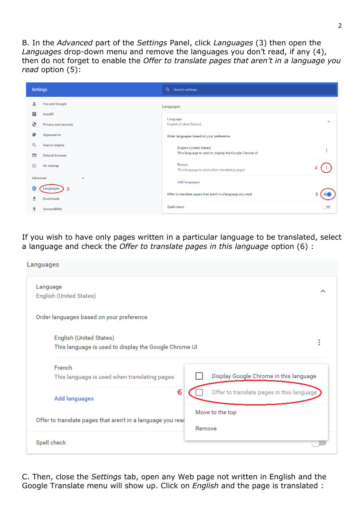B. In the *Advanced* part of the *Settings* Panel, click *Languages* (3) then open the *Languages* drop-down menu and remove the languages you don't read, if any (4), then do not forget to enable the *Offer to translate pages that aren't in a language you read* option (5):

| <b>Settings</b>                         | Q<br><b>Search settings</b>                                 |                                      |
|-----------------------------------------|-------------------------------------------------------------|--------------------------------------|
| <b>You and Google</b><br>≗              | Languages                                                   |                                      |
| 自<br>Autofill                           | Language                                                    |                                      |
| ⊕<br>Privacy and security               | <b>English (United States)</b>                              | $\boldsymbol{\wedge}$                |
| ⊕<br>Appearance                         | Order languages based on your preference                    |                                      |
| Q<br>Search engine                      | English (United States)                                     | $\ddot{\ddot{\phantom{}}\phantom{}}$ |
| <b>Default browser</b><br>$\Box$        | This language is used to display the Google Chrome UI       |                                      |
| $\binom{1}{2}$<br>On startup            | French<br>This language is used when translating pages      |                                      |
| Advanced<br>$\blacktriangle$            | <b>Add languages</b>                                        |                                      |
| ⊕<br>з<br>Languages<br><b>Downloads</b> | Offer to translate pages that aren't in a language you read |                                      |
| <b>Accessibility</b>                    | Spell check                                                 |                                      |

If you wish to have only pages written in a particular language to be translated, select a language and check the *Offer to translate pages in this language* option (6) :

| Languages                                                                        |                                           |
|----------------------------------------------------------------------------------|-------------------------------------------|
| Language<br>English (United States)                                              |                                           |
| Order languages based on your preference                                         |                                           |
| English (United States)<br>This language is used to display the Google Chrome UI | i                                         |
| French<br>This language is used when translating pages                           | Display Google Chrome in this language    |
| 6<br><b>Add languages</b>                                                        | Offer to translate pages in this language |
| Offer to translate pages that aren't in a language you read                      | Move to the top<br>Remove                 |
| Spell check                                                                      |                                           |

C. Then, close the *Settings* tab, open any Web page not written in English and the Google Translate menu will show up. Click on *English* and the page is translated :